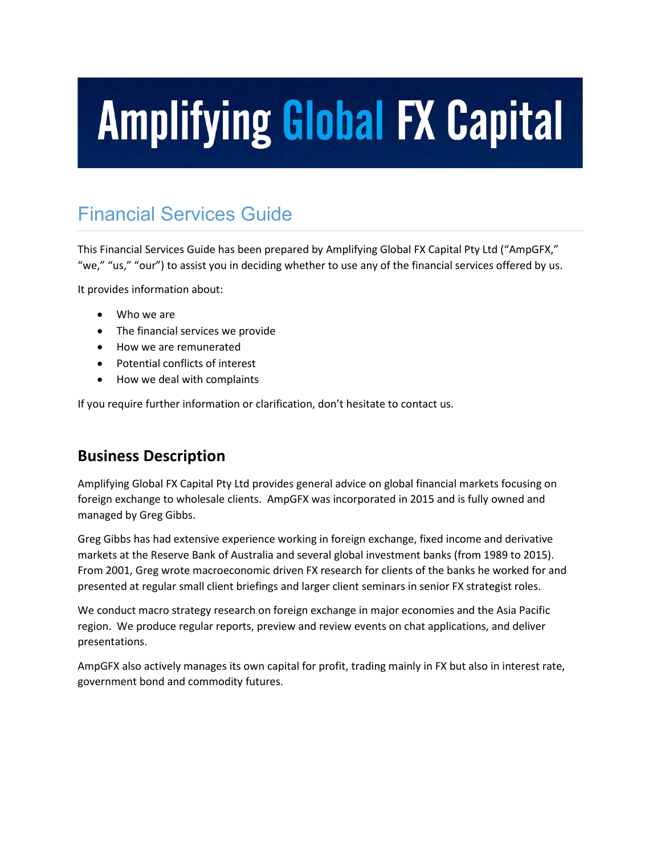### Financial Services Guide

This Financial Services Guide has been prepared by Amplifying Global FX Capital Pty Ltd ("AmpGFX," "we," "us," "our") to assist you in deciding whether to use any of the financial services offered by us.

It provides information about:

- Who we are
- The financial services we provide
- How we are remunerated
- Potential conflicts of interest
- How we deal with complaints

If you require further information or clarification, don't hesitate to contact us.

#### **Business Description**

Amplifying Global FX Capital Pty Ltd provides general advice on global financial markets focusing on foreign exchange to wholesale clients. AmpGFX was incorporated in 2015 and is fully owned and managed by Greg Gibbs.

Greg Gibbs has had extensive experience working in foreign exchange, fixed income and derivative markets at the Reserve Bank of Australia and several global investment banks (from 1989 to 2015). From 2001, Greg wrote macroeconomic driven FX research for clients of the banks he worked for and presented at regular small client briefings and larger client seminars in senior FX strategist roles.

We conduct macro strategy research on foreign exchange in major economies and the Asia Pacific region. We produce regular reports, preview and review events on chat applications, and deliver presentations.

AmpGFX also actively manages its own capital for profit, trading mainly in FX but also in interest rate, government bond and commodity futures.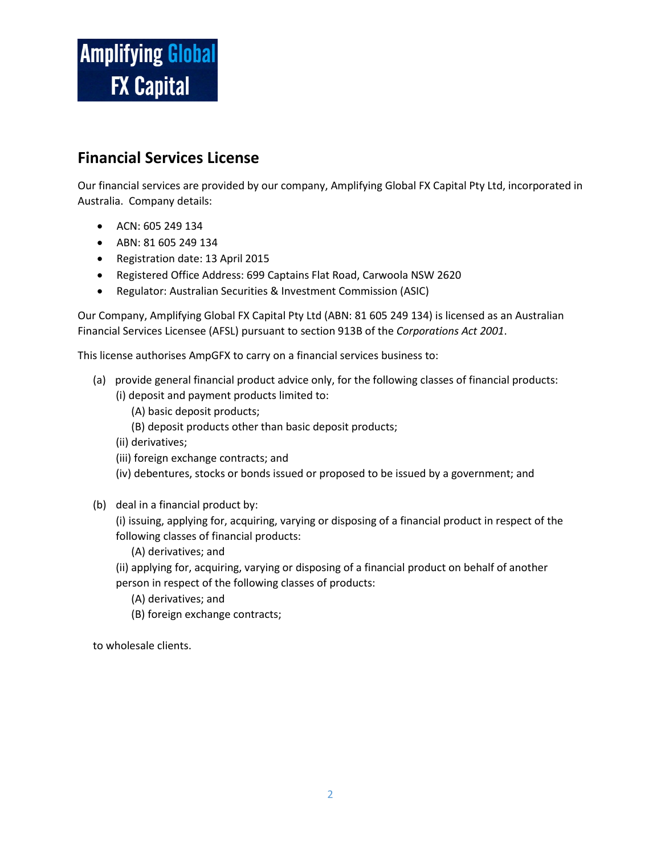#### **Financial Services License**

Our financial services are provided by our company, Amplifying Global FX Capital Pty Ltd, incorporated in Australia. Company details:

- ACN: 605 249 134
- ABN: 81 605 249 134
- Registration date: 13 April 2015
- Registered Office Address: 699 Captains Flat Road, Carwoola NSW 2620
- Regulator: Australian Securities & Investment Commission (ASIC)

Our Company, Amplifying Global FX Capital Pty Ltd (ABN: 81 605 249 134) is licensed as an Australian Financial Services Licensee (AFSL) pursuant to section 913B of the *Corporations Act 2001*.

This license authorises AmpGFX to carry on a financial services business to:

- (a) provide general financial product advice only, for the following classes of financial products: (i) deposit and payment products limited to:
	- (A) basic deposit products;
	- (B) deposit products other than basic deposit products;
	- (ii) derivatives;
	- (iii) foreign exchange contracts; and
	- (iv) debentures, stocks or bonds issued or proposed to be issued by a government; and
- (b) deal in a financial product by:

(i) issuing, applying for, acquiring, varying or disposing of a financial product in respect of the following classes of financial products:

- (A) derivatives; and
- (ii) applying for, acquiring, varying or disposing of a financial product on behalf of another person in respect of the following classes of products:
	- (A) derivatives; and
	- (B) foreign exchange contracts;

to wholesale clients.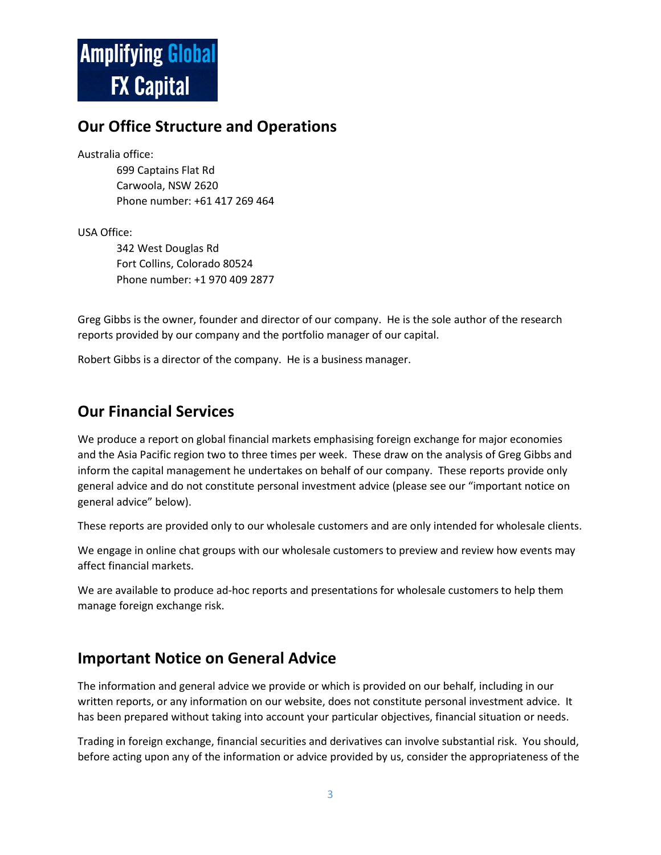#### **Our Office Structure and Operations**

Australia office:

699 Captains Flat Rd Carwoola, NSW 2620 Phone number: +61 417 269 464

USA Office:

342 West Douglas Rd Fort Collins, Colorado 80524 Phone number: +1 970 409 2877

Greg Gibbs is the owner, founder and director of our company. He is the sole author of the research reports provided by our company and the portfolio manager of our capital.

Robert Gibbs is a director of the company. He is a business manager.

#### **Our Financial Services**

We produce a report on global financial markets emphasising foreign exchange for major economies and the Asia Pacific region two to three times per week. These draw on the analysis of Greg Gibbs and inform the capital management he undertakes on behalf of our company. These reports provide only general advice and do not constitute personal investment advice (please see our "important notice on general advice" below).

These reports are provided only to our wholesale customers and are only intended for wholesale clients.

We engage in online chat groups with our wholesale customers to preview and review how events may affect financial markets.

We are available to produce ad-hoc reports and presentations for wholesale customers to help them manage foreign exchange risk.

#### **Important Notice on General Advice**

The information and general advice we provide or which is provided on our behalf, including in our written reports, or any information on our website, does not constitute personal investment advice. It has been prepared without taking into account your particular objectives, financial situation or needs.

Trading in foreign exchange, financial securities and derivatives can involve substantial risk. You should, before acting upon any of the information or advice provided by us, consider the appropriateness of the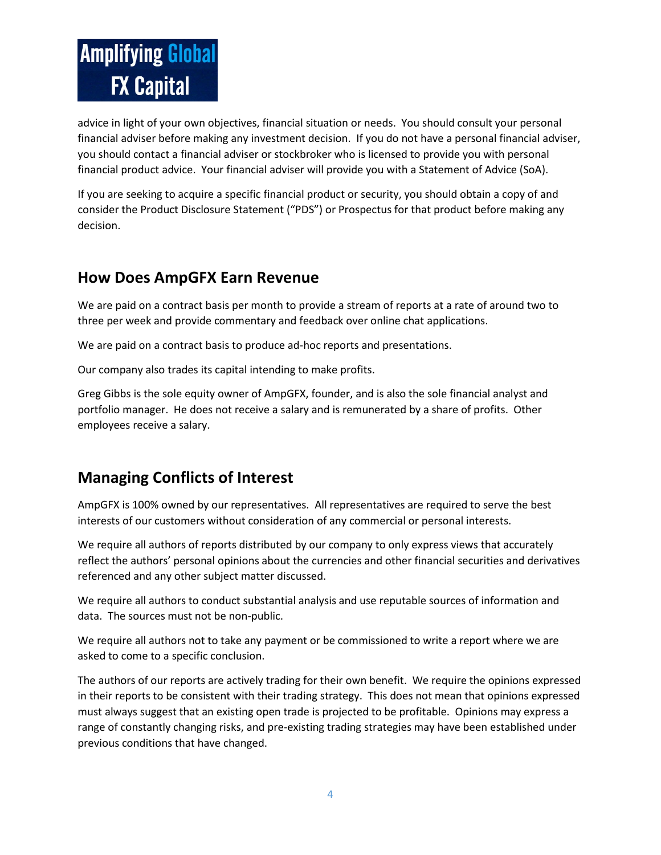advice in light of your own objectives, financial situation or needs. You should consult your personal financial adviser before making any investment decision. If you do not have a personal financial adviser, you should contact a financial adviser or stockbroker who is licensed to provide you with personal financial product advice. Your financial adviser will provide you with a Statement of Advice (SoA).

If you are seeking to acquire a specific financial product or security, you should obtain a copy of and consider the Product Disclosure Statement ("PDS") or Prospectus for that product before making any decision.

#### **How Does AmpGFX Earn Revenue**

We are paid on a contract basis per month to provide a stream of reports at a rate of around two to three per week and provide commentary and feedback over online chat applications.

We are paid on a contract basis to produce ad-hoc reports and presentations.

Our company also trades its capital intending to make profits.

Greg Gibbs is the sole equity owner of AmpGFX, founder, and is also the sole financial analyst and portfolio manager. He does not receive a salary and is remunerated by a share of profits. Other employees receive a salary.

#### **Managing Conflicts of Interest**

AmpGFX is 100% owned by our representatives. All representatives are required to serve the best interests of our customers without consideration of any commercial or personal interests.

We require all authors of reports distributed by our company to only express views that accurately reflect the authors' personal opinions about the currencies and other financial securities and derivatives referenced and any other subject matter discussed.

We require all authors to conduct substantial analysis and use reputable sources of information and data. The sources must not be non-public.

We require all authors not to take any payment or be commissioned to write a report where we are asked to come to a specific conclusion.

The authors of our reports are actively trading for their own benefit. We require the opinions expressed in their reports to be consistent with their trading strategy. This does not mean that opinions expressed must always suggest that an existing open trade is projected to be profitable. Opinions may express a range of constantly changing risks, and pre-existing trading strategies may have been established under previous conditions that have changed.